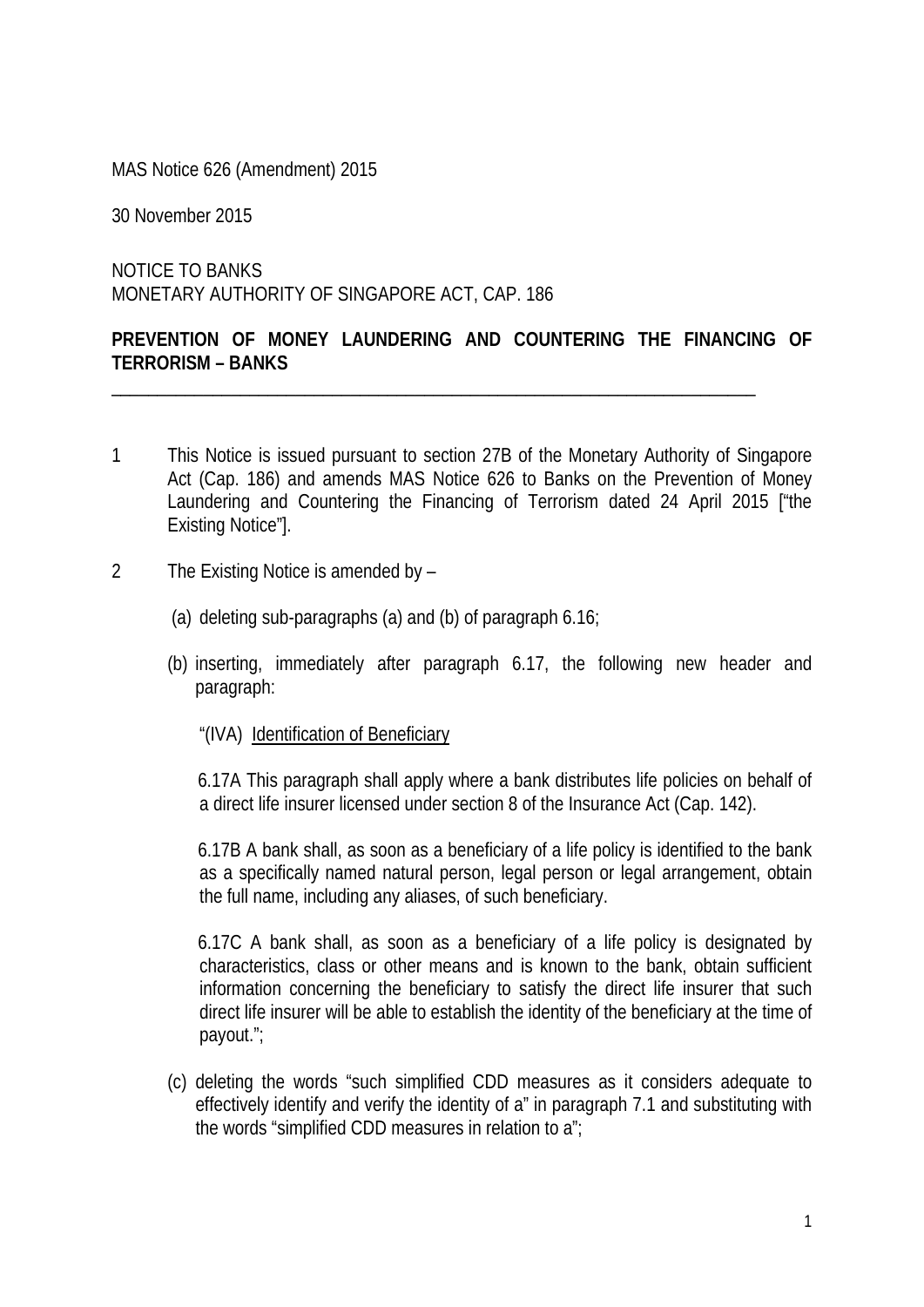MAS Notice 626 (Amendment) 2015

30 November 2015

NOTICE TO BANKS MONETARY AUTHORITY OF SINGAPORE ACT, CAP. 186

## **PREVENTION OF MONEY LAUNDERING AND COUNTERING THE FINANCING OF TERRORISM – BANKS**

\_\_\_\_\_\_\_\_\_\_\_\_\_\_\_\_\_\_\_\_\_\_\_\_\_\_\_\_\_\_\_\_\_\_\_\_\_\_\_\_\_\_\_\_\_\_\_\_\_\_\_\_\_\_\_\_\_\_\_\_\_\_\_\_\_\_\_\_\_\_

- 1 This Notice is issued pursuant to section 27B of the Monetary Authority of Singapore Act (Cap. 186) and amends MAS Notice 626 to Banks on the Prevention of Money Laundering and Countering the Financing of Terrorism dated 24 April 2015 ["the Existing Notice"].
- 2 The Existing Notice is amended by
	- (a) deleting sub-paragraphs (a) and (b) of paragraph 6.16;
	- (b) inserting, immediately after paragraph 6.17, the following new header and paragraph:
		- "(IVA) Identification of Beneficiary

6.17A This paragraph shall apply where a bank distributes life policies on behalf of a direct life insurer licensed under section 8 of the Insurance Act (Cap. 142).

6.17B A bank shall, as soon as a beneficiary of a life policy is identified to the bank as a specifically named natural person, legal person or legal arrangement, obtain the full name, including any aliases, of such beneficiary.

6.17C A bank shall, as soon as a beneficiary of a life policy is designated by characteristics, class or other means and is known to the bank, obtain sufficient information concerning the beneficiary to satisfy the direct life insurer that such direct life insurer will be able to establish the identity of the beneficiary at the time of payout.";

(c) deleting the words "such simplified CDD measures as it considers adequate to effectively identify and verify the identity of a" in paragraph 7.1 and substituting with the words "simplified CDD measures in relation to a";